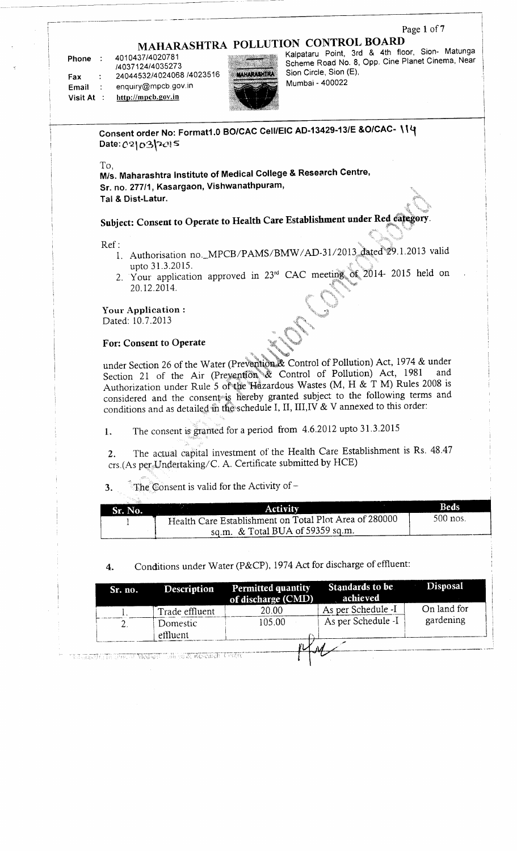#### Page 1 of 7

# **MAHARASHTRA POLLUTION CONTROL BOARD**

**Phone** : 4010437/4020781 /4037124/4035273 7403712474030273<br>RAGAAE2214024068 14023516

**Example : 27077002.**<br> **Example 2008 Example 2008 Email** : enquiry@mpcb.gov.in<br>Visit At : http://mpcb.gov.in



Kalpataru Point, 3rd & 4th floor, Sion- Matunga Scheme Road No. 8, Opp. Cine Planet Cinema, Near j Sion Circle, Sion (E), Mumbai - 400022

**Consent order No: Formatl.O BO/CAC Cell/EIC AD-1 3429-1 3/E &O/CAC-**7113<del>c</del>m<br>.to: 43

To,

**M/s. Maharashtra Institute of Medical College & Research Centre, Sr. no. 277/1 , Kasargaon, Vishwanathpuram, Tal & Dist-Latur.**

**Subject: Consent to Operate to Health Care Establishment under Red category.**

Ref:

- 1. Authorisation no.\_MPCB/PAMS/BMW/AD-31/2013 dated 29.1.2013 valid upto 31.3.2015.
- 2. Your application approved in 23<sup>rd</sup> CAC meeting of 2014- 2015 held on 20.12.2014.

**Your Application :** Dated: 10.7.2013

#### **For: Consent to Operate**

under Section 26 of the Water (Prevention & Control of Pollution) Act, 1974 & under Section 21 of the Air (Prevention & Control of Pollution) Act, 1981 and Authorization under Rule 5 of the Hazardous Wastes (M, H & T M) Rules 2008 is considered and the consent is hereby granted subject to the following terms and conditions and as detailed in the schedule I, II, 111,1V & V annexed to this order:

1. The consent is granted for a period from 4.6.2012 upto 31.3.2015

2. The actual capital investment of the Health Care Establishment is Rs. 48.47 crs.(As per Undertaking/ C. A. Certificate submitted by HCE)

**3.** The Consent is valid for the Activity of  $-$ 

| Sr. No. | <b>Activity</b>                                        | Beds     |
|---------|--------------------------------------------------------|----------|
|         | Health Care Establishment on Total Plot Area of 280000 | 500 nos. |
|         | sq.m. $&$ Total BUA of 59359 sq.m.                     |          |

4. Conditions under Water (P&CP), 1974 Act for discharge of effluent:

| Sr. no. | <b>Description</b> | <b>Permitted quantity</b><br>of discharge (CMD) | Standards to be<br>achieved | <b>Disposal</b> |
|---------|--------------------|-------------------------------------------------|-----------------------------|-----------------|
|         | Trade effluent     | 20.00                                           | As per Schedule -I          | On land for     |
|         | Domestic           | 105.00                                          | As per Schedule -I          | gardening       |
|         | effluent           |                                                 |                             |                 |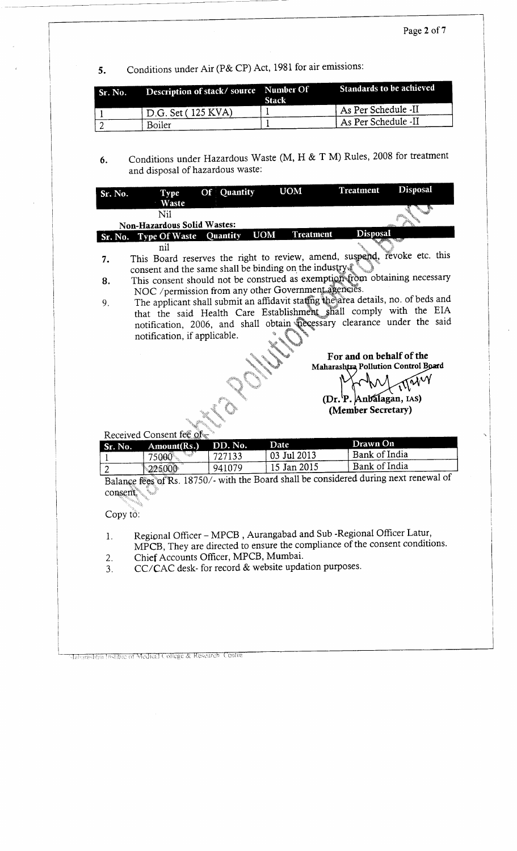5. Conditions under Air (P& CP) Act, 1981 for air emissions: 5.

| Sr. No. | Description of stack/source Number Of | <b>Stack</b> | Standards to be achieved         |
|---------|---------------------------------------|--------------|----------------------------------|
|         | <sup>t</sup> D.G. Set (125 KVA)       |              | <sup>1</sup> As Per Schedule -II |
|         | Boiler                                |              | LAs Per Schedule -II             |

6. Conditions under Hazardous Waste (M, H & T M) Rules, 2008 for treatment and disposal of hazardous waste:

| Sr. No.        | <b>Type</b>                           | Of Quantity     | <b>UOM</b>                                                                                                                                         | <b>Treatment</b>         | <b>Disposal</b>                     |
|----------------|---------------------------------------|-----------------|----------------------------------------------------------------------------------------------------------------------------------------------------|--------------------------|-------------------------------------|
|                | Waste                                 |                 |                                                                                                                                                    |                          |                                     |
|                | Nil<br>Non-Hazardous Solid Wastes:    |                 |                                                                                                                                                    |                          |                                     |
|                | Sr. No. Type Of Waste                 | <b>Quantity</b> | <b>UOM</b><br><b>Treatment</b>                                                                                                                     | <b>Disposal</b>          |                                     |
|                | nil                                   |                 |                                                                                                                                                    |                          |                                     |
| 7.             |                                       |                 | This Board reserves the right to review, amend, suspend, revoke etc. this                                                                          |                          |                                     |
|                |                                       |                 | consent and the same shall be binding on the industry.                                                                                             |                          |                                     |
| 8.             |                                       |                 | This consent should not be construed as exemption from obtaining necessary                                                                         |                          |                                     |
|                |                                       |                 | NOC /permission from any other Government agencies.<br>The applicant shall submit an affidavit stating the area details, no. of beds and           |                          |                                     |
| 9.             |                                       |                 | that the said Health Care Establishment shall comply with the EIA                                                                                  |                          |                                     |
|                |                                       |                 | notification, 2006, and shall obtain necessary clearance under the said                                                                            |                          |                                     |
|                | notification, if applicable.          |                 |                                                                                                                                                    |                          |                                     |
|                |                                       |                 |                                                                                                                                                    | For and on behalf of the |                                     |
|                |                                       |                 |                                                                                                                                                    |                          | Maharashtra Pollution Control Board |
|                |                                       |                 |                                                                                                                                                    |                          | rayy                                |
|                |                                       |                 |                                                                                                                                                    | (Dr. P. Anbalagan, IAS)  |                                     |
|                |                                       |                 |                                                                                                                                                    | (Member Secretary)       |                                     |
|                |                                       |                 |                                                                                                                                                    |                          |                                     |
|                |                                       |                 |                                                                                                                                                    |                          |                                     |
|                | Received Consent fee of               |                 |                                                                                                                                                    |                          |                                     |
| Sr. No.        | Amount(Rs.)                           | DD. No.         | Date                                                                                                                                               | Drawn On                 |                                     |
| 1              | 75000                                 | 727133          | 03 Jul 2013                                                                                                                                        | Bank of India            |                                     |
| $\overline{2}$ | 225000                                | 941079          | 15 Jan 2015                                                                                                                                        | Bank of India            |                                     |
|                |                                       |                 | Balance fees of Rs. 18750/- with the Board shall be considered during next renewal of                                                              |                          |                                     |
| consent.       |                                       |                 |                                                                                                                                                    |                          |                                     |
|                |                                       |                 |                                                                                                                                                    |                          |                                     |
| Copy to:       |                                       |                 |                                                                                                                                                    |                          |                                     |
| 1.             |                                       |                 |                                                                                                                                                    |                          |                                     |
|                |                                       |                 | Regional Officer - MPCB, Aurangabad and Sub-Regional Officer Latur,<br>MPCB, They are directed to ensure the compliance of the consent conditions. |                          |                                     |
| 2.             | Chief Accounts Officer, MPCB, Mumbai. |                 |                                                                                                                                                    |                          |                                     |
| 3.             |                                       |                 | $CC/CAC$ desk- for record $&$ website updation purposes.                                                                                           |                          |                                     |
|                |                                       |                 |                                                                                                                                                    |                          |                                     |
|                |                                       |                 |                                                                                                                                                    |                          |                                     |
|                |                                       |                 |                                                                                                                                                    |                          |                                     |
|                |                                       |                 |                                                                                                                                                    |                          |                                     |

Mabarashtra Instituc of Medical College & Research Centre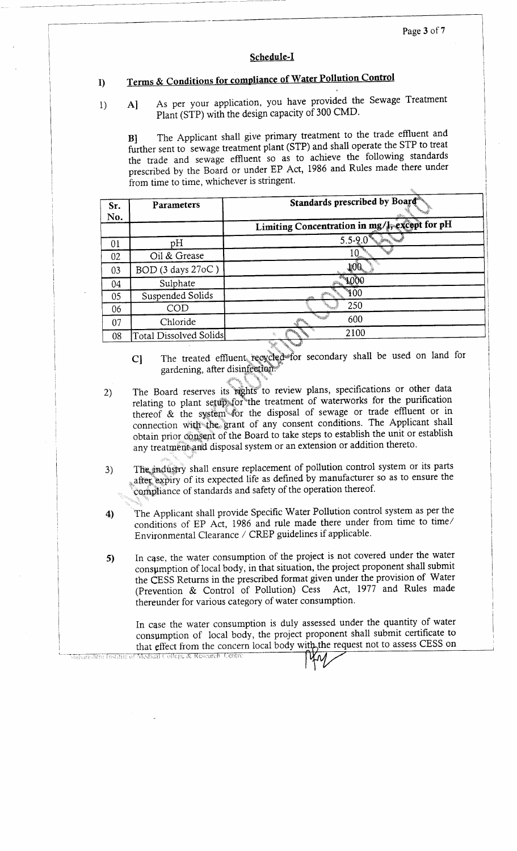#### **Schedule-I**

#### **I) Terms & Conditions for compliance of Water Pollution Control**  $\bf{D}$

#### A] As per your application, you have provided the Sewage Treatment  $1)$ Plant (STP) with the design capacity of 300 CMD.

B] The Applicant shall give primary treatment to the trade effluent and further sent to sewage treatment plant (STP) and shall operate the STP to treat the trade and sewage effluent so as to achieve the following standards prescribed by the Board or under EP Act, 1986 and Rules made there under from time to time, whichever is stringent.

| Sr.<br>No. | Parameters             | Standards prescribed by Board®                |
|------------|------------------------|-----------------------------------------------|
|            |                        | Limiting Concentration in mg/l, except for pH |
| 01         | pH                     | $5.5 - 9.0$                                   |
| 02         | Oil & Grease           |                                               |
| 03         | BOD (3 days 27oC)      |                                               |
| 04         | Sulphate               |                                               |
| 05         | Suspended Solids       | $_{\text{100}}$                               |
| 06         | COD                    | 250                                           |
| 07         | Chloride               | 600                                           |
| 08         | Total Dissolved Solids | 2100                                          |

- C] The treated effluent recycled for secondary shall be used on land for gardening, after disinfection.
- 2) The Board reserves its rights to review plans, specifications or other data relating to plant setup for the treatment of waterworks for the purification thereof & the system for the disposal of sewage or trade effluent or in connection with the. grant of any consent conditions. The Applicant shall obtain prior consent of the Board to take steps to establish the unit or establish any treatment and disposal system or an extension or addition thereto.
- 3) The industry shall ensure replacement of pollution control system or its parts after expiry of its expected life as defined by manufacturer so as to ensure the compliance of standards and safety of the operation thereof.
- 4) The Applicant shall provide Specific Water Pollution control system as per the conditions of EP Act, 1986 and rule made there under from time to time/ Environmental Clearance / CREP guidelines if applicable.
- 5) In case, the water consumption of the project is not covered under the water consumption of local body, in that situation, the project proponent shall submit the CESS Returns in the prescribed format given under the provision of Water (Prevention & Control of Pollution) Cess Act, 1977 and Rules made thereunder for various category of water consumption.

In case the water consumption is duly assessed under the quantity of water consumption of local body, the project proponent shall submit certificate to that effect from the concern local body with the request not to assess CESS on Jabarashtra Instituciof Medical College & Research Centr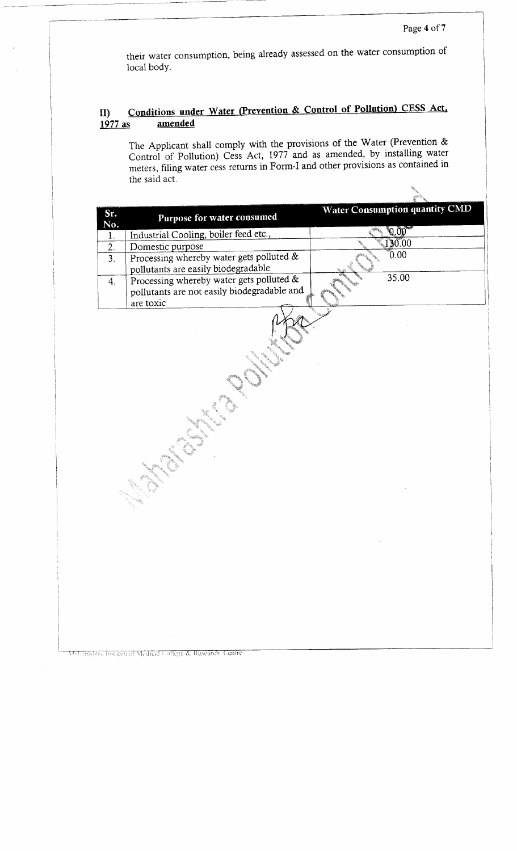their water consumption, being already assessed on the water consumption of local body.

### **I** Conditions under Water (Prevention & Control of Pollution) CESS Act. **1977 as amended**

The Applicant shall comply with the provisions of the Water (Prevention & Control of Pollution) Cess Act, 1977 and as amended, by installing water meters, filing water cess returns in Form-I and other provisions as contained in the said act.

| Sr. |                                                                                                      | Water Consumption quantity CMD |
|-----|------------------------------------------------------------------------------------------------------|--------------------------------|
| No. | Purpose for water consumed                                                                           |                                |
| 1.  | Industrial Cooling, boiler feed etc.,                                                                | 0.00                           |
| 2.  | Domestic purpose                                                                                     | 30.00                          |
| 3.  | Processing whereby water gets polluted &<br>pollutants are easily biodegradable                      | 0.00                           |
| 4.  | Processing whereby water gets polluted &<br>pollutants are not easily biodegradable and<br>are toxic | 35.00                          |
|     |                                                                                                      |                                |

Maharashtra Instituciof Medical College & Research, Centre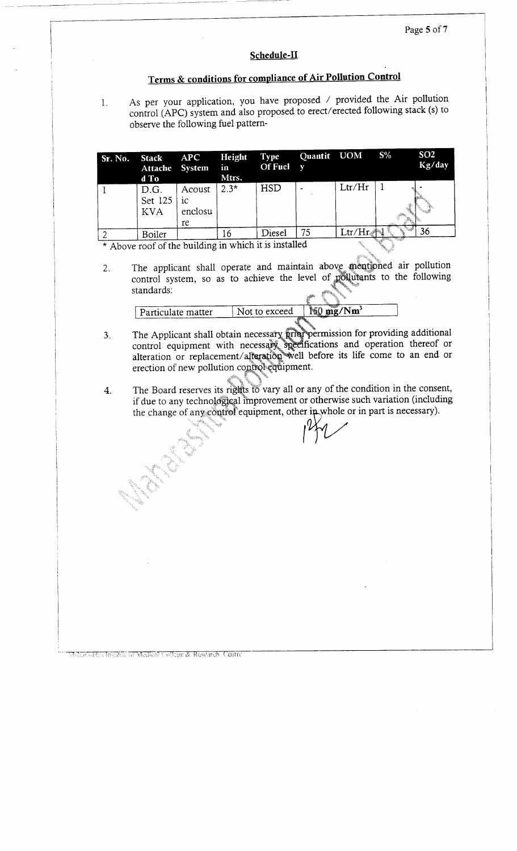#### Page 5 of 7

### **Schedule-II**

# **Terms & conditions for compliance of Air Pollution Control**

As per your application, you have proposed / provided the Air pollution control (APC) system and also proposed to erect/erected following stack (s) to observe the following fuel pattern-

| Sr. No. | Stack<br>d To                 | APC<br>Attache System in        | Height Type<br>Mtrs. | Of Fuel y  | Quantit UOM |                     | $S\%$ | SO <sub>2</sub><br>Kg/day |
|---------|-------------------------------|---------------------------------|----------------------|------------|-------------|---------------------|-------|---------------------------|
|         | D.G.<br>Set 125<br><b>KVA</b> | Acoust<br>  ic<br>enclosu<br>re | $2.3*$               | <b>HSD</b> |             | Ltr/Hr              |       |                           |
|         | Boiler                        |                                 |                      | Diesel     | 75          | $\rm Ltr/Hr_{\ast}$ |       | 36                        |

\* Above roof of the building in which it is installed

 $1.$ 

2. The applicant shall operate and maintain above mentioned air pollution control system, so as to achieve the level of pollutants to the following standards:

| - Particulate matter | Not to exceed        | wasa<br>ا 1∕آ<br>mo/ | Nm' |
|----------------------|----------------------|----------------------|-----|
|                      | <b>REAR PROPERTY</b> |                      |     |

- 3. be Applicant shall obtain necessary prior permission for providing additional control equipment with necessary specifications and operation thereof or  $\frac{1}{2}$  alteration or replacement/alteration well before its life come to an end or erection of new pollution control equipment.
- The Board reserves its rights to vary all or any of the condition in the consent,  $\overline{4}$ . if due to any technological improvement or otherwise such variation (including the change of any control equipment, other in whole or in part is necessary).

Mahasalini Instituc of Medical College & Research, Centre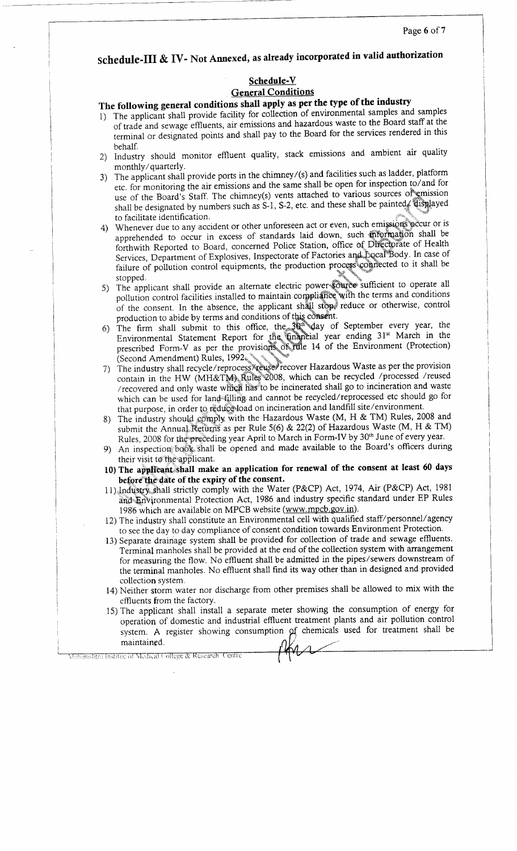## **Schedule-Ill & IV- Not Annexed, as already incorporated in valid authorization**

### **Schedule-V General Conditions**

### **The following general conditions shall apply as per the type of the industry**

- 1) The applicant shall provide facility for collection of environmental samples and samples of trade and sewage effluents, air emissions and hazardous waste to the Board staff at the that and semale embedded, the contract of the Board for the services rendered in this  $hat{f}$
- 2) Industry should monitor effluent quality, stack emissions and ambient air quality uustry shoute mo<br>onthly/guarterly
- 3) The applicant shall provide ports in the chimney/(s) and facilities such as ladder, platform etc. for monitoring the air emissions and the same shall be open for inspection to/and for use of the Board's Staff. The chimney(s) vents attached to various sources of emission shall be designated by numbers such as S-1, S-2, etc. and these shall be painted. displayed to facilitate identification.
- 4) Whenever due to any accident or other unforeseen act or even, such emissions pecur or is apprehended to occur in excess of standards laid down, such information shall be forthwith Reported to Board, concerned Police Station, office of Directorate of Health Services, Department of Explosives, Inspectorate of Factories and Docal Body. In case of fivices, Department of Explosives, inspected to a matter of connected to it shall be nure or<br>onned
- stopped.<br>5) The applicant shall provide an alternate electric power-source sufficient to operate all pollution control facilities installed to maintain compliance with the terms and conditions of the consent. In the absence, the applicant shall stop, reduce or otherwise, control production to abide by terms and conditions of this consent.
- Foundation to define  $\epsilon$  firm submit to this office, the  $3\%$ <sup>th</sup> day of September every year, the  $\frac{1}{2}$  Equivalental Statement Report for the unamerical year ending  $31$ st March in the prescribed Form-V as per the provisions o^rale 14 of the Environment (Protection) (Second Amendment) Rules, 1992. • \* ^
- (Second Amendment) Rules, 1992.<br>
7) The industry shall recycle/reprocess/reuse/recover Hazardous Waste as per the provision contain in the HW (MH&TM), Rules 2008, which can be recycled /processed /reused /recovered and only waste which has to be incinerated shall go to incineration and waste which can be used for land filling and cannot be recycled/reprocessed etc should go for that purpose, in order to reduce-load on incineration and landfill site/environment.
- 8) The industry should comply with the Hazardous Waste (M, H & TM) Rules, 2008 and submit the Annual Returns as per Rule 5(6) & 22(2) of Hazardous Waste (M, H & TM) Rules, 2008 for the preceding year April to March in Form-IV by 30<sup>th</sup> June of every year.
- 9) An inspection book shall be opened and made available to the Board's officers during their visit to the applicant.
- **10) The applicant shall make an application for renewal of the consent at least 60 days before the date of the expiry of the consent.**
- 11).Industry shall strictly comply with the Water (P&CP) Act, 1974, Air (P&CP) Act, 1981 and Environmental Protection Act, 1986 and industry specific standard under EP Rules 1986 which are available on MPCB website (www.mpcb.gov.in).
- 12) The industry shall constitute an Environmental cell with qualified staff/personnel/agency to see the day to day compliance of consent condition towards Environment Protection.
- 13) Separate drainage system shall be provided for collection of trade and sewage effluents. Terminal manholes shall be provided at the end of the collection system with arrangement for measuring the flow. No effluent shall be admitted in the pipes/sewers downstream of the terminal manholes. No effluent shall find its way other than in designed and provided collection system.
- 14) Neither storm water nor discharge from other premises shall be allowed to mix with the effluents from the factory.
- 15) The applicant shall install a separate meter showing the consumption of energy for operation of domestic and industrial effluent treatment plants and air pollution control system. A register showing consumption of chemicals used for treatment shall be maintained.

Maharashtra Institue of Medical College & Research Centre